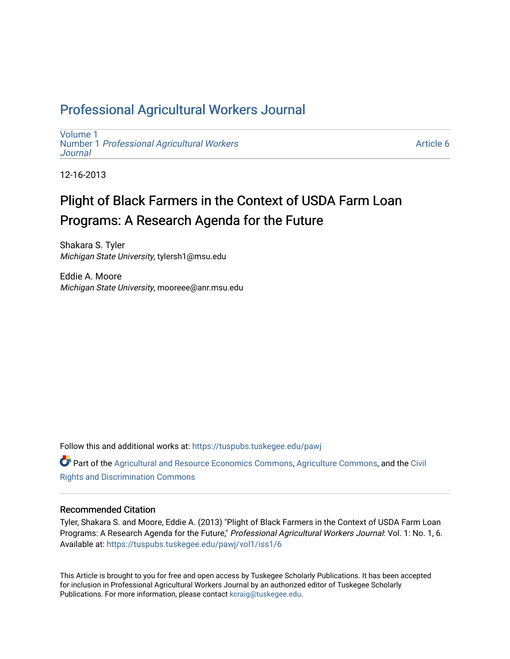# Professional Agricultural Workers Journal

[Volume 1](https://tuspubs.tuskegee.edu/pawj/vol1) Number 1 [Professional Agricultural Workers](https://tuspubs.tuskegee.edu/pawj/vol1/iss1)  **Journal** 

[Article 6](https://tuspubs.tuskegee.edu/pawj/vol1/iss1/6) 

12-16-2013

# Plight of Black Farmers in the Context of USDA Farm Loan Programs: A Research Agenda for the Future

Shakara S. Tyler Michigan State University, tylersh1@msu.edu

Eddie A. Moore Michigan State University, mooreee@anr.msu.edu

Follow this and additional works at: [https://tuspubs.tuskegee.edu/pawj](https://tuspubs.tuskegee.edu/pawj?utm_source=tuspubs.tuskegee.edu%2Fpawj%2Fvol1%2Fiss1%2F6&utm_medium=PDF&utm_campaign=PDFCoverPages)

Part of the [Agricultural and Resource Economics Commons,](http://network.bepress.com/hgg/discipline/317?utm_source=tuspubs.tuskegee.edu%2Fpawj%2Fvol1%2Fiss1%2F6&utm_medium=PDF&utm_campaign=PDFCoverPages) [Agriculture Commons](http://network.bepress.com/hgg/discipline/1076?utm_source=tuspubs.tuskegee.edu%2Fpawj%2Fvol1%2Fiss1%2F6&utm_medium=PDF&utm_campaign=PDFCoverPages), and the [Civil](http://network.bepress.com/hgg/discipline/585?utm_source=tuspubs.tuskegee.edu%2Fpawj%2Fvol1%2Fiss1%2F6&utm_medium=PDF&utm_campaign=PDFCoverPages)  [Rights and Discrimination Commons](http://network.bepress.com/hgg/discipline/585?utm_source=tuspubs.tuskegee.edu%2Fpawj%2Fvol1%2Fiss1%2F6&utm_medium=PDF&utm_campaign=PDFCoverPages) 

# Recommended Citation

Tyler, Shakara S. and Moore, Eddie A. (2013) "Plight of Black Farmers in the Context of USDA Farm Loan Programs: A Research Agenda for the Future," Professional Agricultural Workers Journal: Vol. 1: No. 1, 6. Available at: [https://tuspubs.tuskegee.edu/pawj/vol1/iss1/6](https://tuspubs.tuskegee.edu/pawj/vol1/iss1/6?utm_source=tuspubs.tuskegee.edu%2Fpawj%2Fvol1%2Fiss1%2F6&utm_medium=PDF&utm_campaign=PDFCoverPages)

This Article is brought to you for free and open access by Tuskegee Scholarly Publications. It has been accepted for inclusion in Professional Agricultural Workers Journal by an authorized editor of Tuskegee Scholarly Publications. For more information, please contact [kcraig@tuskegee.edu.](mailto:kcraig@tuskegee.edu)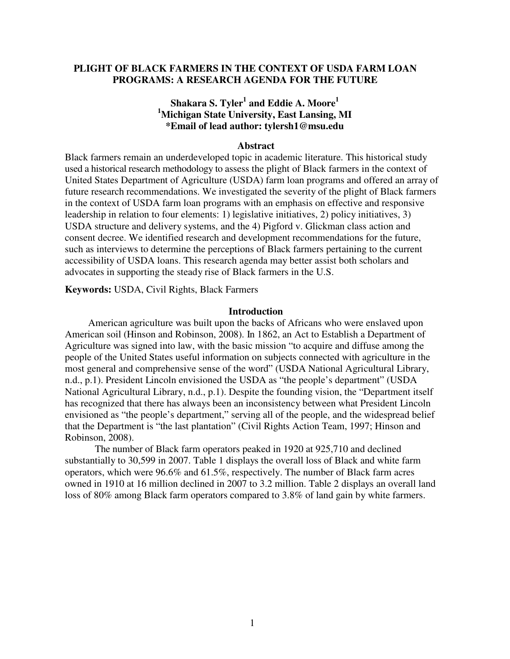# **PLIGHT OF BLACK FARMERS IN THE CONTEXT OF USDA FARM LOAN PROGRAMS: A RESEARCH AGENDA FOR THE FUTURE**

# **Shakara S. Tyler<sup>1</sup> and Eddie A. Moore<sup>1</sup> <sup>1</sup>Michigan State University, East Lansing, MI \*Email of lead author: tylersh1@msu.edu**

#### **Abstract**

Black farmers remain an underdeveloped topic in academic literature. This historical study used a historical research methodology to assess the plight of Black farmers in the context of United States Department of Agriculture (USDA) farm loan programs and offered an array of future research recommendations. We investigated the severity of the plight of Black farmers in the context of USDA farm loan programs with an emphasis on effective and responsive leadership in relation to four elements: 1) legislative initiatives, 2) policy initiatives, 3) USDA structure and delivery systems, and the 4) Pigford v. Glickman class action and consent decree. We identified research and development recommendations for the future, such as interviews to determine the perceptions of Black farmers pertaining to the current accessibility of USDA loans. This research agenda may better assist both scholars and advocates in supporting the steady rise of Black farmers in the U.S.

 **Keywords:** USDA, Civil Rights, Black Farmers

### **Introduction**

American agriculture was built upon the backs of Africans who were enslaved upon American soil (Hinson and Robinson, 2008). In 1862, an Act to Establish a Department of Agriculture was signed into law, with the basic mission "to acquire and diffuse among the people of the United States useful information on subjects connected with agriculture in the most general and comprehensive sense of the word" (USDA National Agricultural Library, n.d., p.1). President Lincoln envisioned the USDA as "the people's department" (USDA National Agricultural Library, n.d., p.1). Despite the founding vision, the "Department itself has recognized that there has always been an inconsistency between what President Lincoln envisioned as "the people's department," serving all of the people, and the widespread belief that the Department is "the last plantation" (Civil Rights Action Team, 1997; Hinson and Robinson, 2008).

The number of Black farm operators peaked in 1920 at 925,710 and declined substantially to 30,599 in 2007. Table 1 displays the overall loss of Black and white farm operators, which were 96.6% and 61.5%, respectively. The number of Black farm acres owned in 1910 at 16 million declined in 2007 to 3.2 million. Table 2 displays an overall land loss of 80% among Black farm operators compared to 3.8% of land gain by white farmers.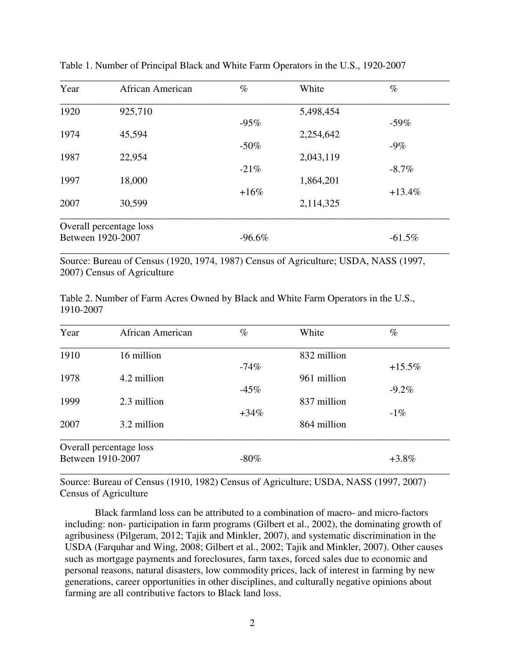| Year              | African American        | $\%$     | White     | $\%$     |
|-------------------|-------------------------|----------|-----------|----------|
| 1920              | 925,710                 |          | 5,498,454 |          |
|                   |                         | $-95%$   |           | $-59\%$  |
| 1974              | 45,594                  |          | 2,254,642 |          |
|                   |                         | $-50\%$  |           | $-9\%$   |
| 1987              | 22,954                  |          | 2,043,119 |          |
|                   |                         | $-21%$   |           | $-8.7\%$ |
| 1997              | 18,000                  |          | 1,864,201 |          |
|                   |                         | $+16%$   |           | $+13.4%$ |
| 2007              | 30,599                  |          | 2,114,325 |          |
|                   | Overall percentage loss |          |           |          |
| Between 1920-2007 |                         | $-96.6%$ |           | $-61.5%$ |

Table 1. Number of Principal Black and White Farm Operators in the U.S., 1920-2007

Source: Bureau of Census (1920, 1974, 1987) Census of Agriculture; USDA, NASS (1997, 2007) Census of Agriculture

Table 2. Number of Farm Acres Owned by Black and White Farm Operators in the U.S., 1910-2007

| Year              | African American        | $\%$        | White       | $\%$     |
|-------------------|-------------------------|-------------|-------------|----------|
| 1910              | 16 million              |             | 832 million |          |
|                   |                         | $-74%$      |             | $+15.5%$ |
| 1978<br>1999      | 4.2 million             |             | 961 million |          |
|                   |                         | $-45%$      |             | $-9.2\%$ |
|                   | 2.3 million             | 837 million |             |          |
|                   |                         | $+34\%$     |             | $-1\%$   |
| 2007              | 3.2 million             |             | 864 million |          |
|                   | Overall percentage loss |             |             |          |
| Between 1910-2007 |                         | $-80\%$     |             | $+3.8\%$ |

Source: Bureau of Census (1910, 1982) Census of Agriculture; USDA, NASS (1997, 2007) Census of Agriculture

Black farmland loss can be attributed to a combination of macro- and micro-factors including: non- participation in farm programs (Gilbert et al., 2002), the dominating growth of agribusiness (Pilgeram, 2012; Tajik and Minkler, 2007), and systematic discrimination in the USDA (Farquhar and Wing, 2008; Gilbert et al., 2002; Tajik and Minkler, 2007). Other causes such as mortgage payments and foreclosures, farm taxes, forced sales due to economic and personal reasons, natural disasters, low commodity prices, lack of interest in farming by new generations, career opportunities in other disciplines, and culturally negative opinions about farming are all contributive factors to Black land loss.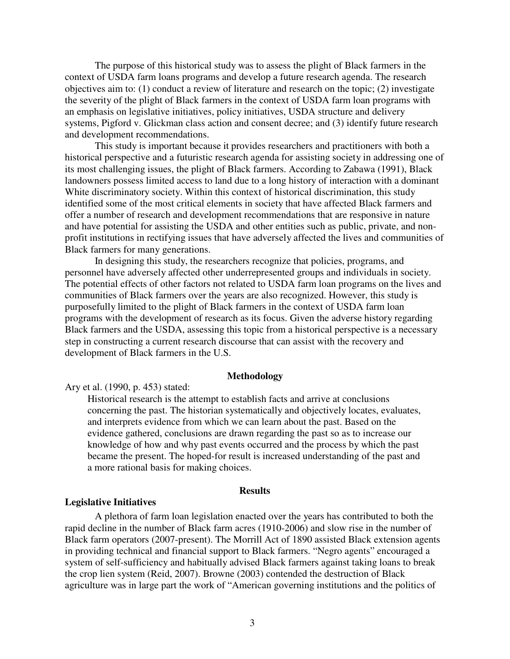The purpose of this historical study was to assess the plight of Black farmers in the context of USDA farm loans programs and develop a future research agenda. The research objectives aim to: (1) conduct a review of literature and research on the topic; (2) investigate the severity of the plight of Black farmers in the context of USDA farm loan programs with an emphasis on legislative initiatives, policy initiatives, USDA structure and delivery systems, Pigford v. Glickman class action and consent decree; and (3) identify future research and development recommendations.

This study is important because it provides researchers and practitioners with both a historical perspective and a futuristic research agenda for assisting society in addressing one of its most challenging issues, the plight of Black farmers. According to Zabawa (1991), Black landowners possess limited access to land due to a long history of interaction with a dominant White discriminatory society. Within this context of historical discrimination, this study identified some of the most critical elements in society that have affected Black farmers and offer a number of research and development recommendations that are responsive in nature and have potential for assisting the USDA and other entities such as public, private, and nonprofit institutions in rectifying issues that have adversely affected the lives and communities of Black farmers for many generations.

In designing this study, the researchers recognize that policies, programs, and personnel have adversely affected other underrepresented groups and individuals in society. The potential effects of other factors not related to USDA farm loan programs on the lives and communities of Black farmers over the years are also recognized. However, this study is purposefully limited to the plight of Black farmers in the context of USDA farm loan programs with the development of research as its focus. Given the adverse history regarding Black farmers and the USDA, assessing this topic from a historical perspective is a necessary step in constructing a current research discourse that can assist with the recovery and development of Black farmers in the U.S.

#### **Methodology**

Ary et al. (1990, p. 453) stated:

Historical research is the attempt to establish facts and arrive at conclusions concerning the past. The historian systematically and objectively locates, evaluates, and interprets evidence from which we can learn about the past. Based on the evidence gathered, conclusions are drawn regarding the past so as to increase our knowledge of how and why past events occurred and the process by which the past became the present. The hoped-for result is increased understanding of the past and a more rational basis for making choices.

#### **Results**

# **Legislative Initiatives**

A plethora of farm loan legislation enacted over the years has contributed to both the rapid decline in the number of Black farm acres (1910-2006) and slow rise in the number of Black farm operators (2007-present). The Morrill Act of 1890 assisted Black extension agents in providing technical and financial support to Black farmers. "Negro agents" encouraged a system of self-sufficiency and habitually advised Black farmers against taking loans to break the crop lien system (Reid, 2007). Browne (2003) contended the destruction of Black agriculture was in large part the work of "American governing institutions and the politics of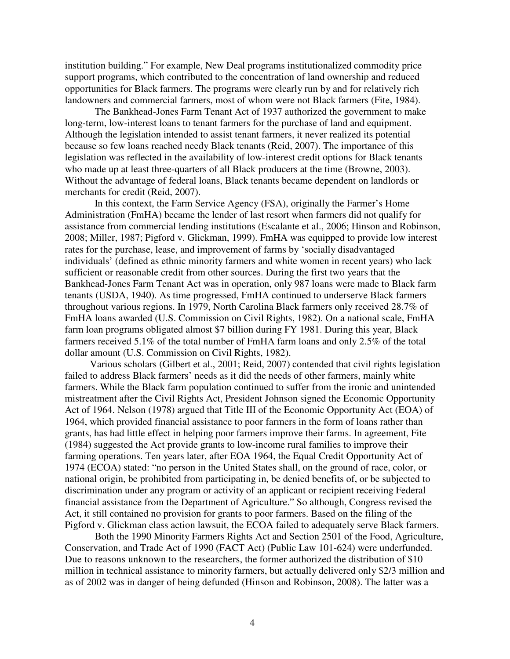institution building." For example, New Deal programs institutionalized commodity price support programs, which contributed to the concentration of land ownership and reduced opportunities for Black farmers. The programs were clearly run by and for relatively rich landowners and commercial farmers, most of whom were not Black farmers (Fite, 1984).

The Bankhead-Jones Farm Tenant Act of 1937 authorized the government to make long-term, low-interest loans to tenant farmers for the purchase of land and equipment. Although the legislation intended to assist tenant farmers, it never realized its potential because so few loans reached needy Black tenants (Reid, 2007). The importance of this legislation was reflected in the availability of low-interest credit options for Black tenants who made up at least three-quarters of all Black producers at the time (Browne, 2003). Without the advantage of federal loans, Black tenants became dependent on landlords or merchants for credit (Reid, 2007).

In this context, the Farm Service Agency (FSA), originally the Farmer's Home Administration (FmHA) became the lender of last resort when farmers did not qualify for assistance from commercial lending institutions (Escalante et al., 2006; Hinson and Robinson, 2008; Miller, 1987; Pigford v. Glickman, 1999). FmHA was equipped to provide low interest rates for the purchase, lease, and improvement of farms by 'socially disadvantaged individuals' (defined as ethnic minority farmers and white women in recent years) who lack sufficient or reasonable credit from other sources. During the first two years that the Bankhead-Jones Farm Tenant Act was in operation, only 987 loans were made to Black farm tenants (USDA, 1940). As time progressed, FmHA continued to underserve Black farmers throughout various regions. In 1979, North Carolina Black farmers only received 28.7% of FmHA loans awarded (U.S. Commission on Civil Rights, 1982). On a national scale, FmHA farm loan programs obligated almost \$7 billion during FY 1981. During this year, Black farmers received 5.1% of the total number of FmHA farm loans and only 2.5% of the total dollar amount (U.S. Commission on Civil Rights, 1982).

 Various scholars (Gilbert et al., 2001; Reid, 2007) contended that civil rights legislation failed to address Black farmers' needs as it did the needs of other farmers, mainly white farmers. While the Black farm population continued to suffer from the ironic and unintended mistreatment after the Civil Rights Act, President Johnson signed the Economic Opportunity Act of 1964. Nelson (1978) argued that Title III of the Economic Opportunity Act (EOA) of 1964, which provided financial assistance to poor farmers in the form of loans rather than grants, has had little effect in helping poor farmers improve their farms. In agreement, Fite (1984) suggested the Act provide grants to low-income rural families to improve their farming operations. Ten years later, after EOA 1964, the Equal Credit Opportunity Act of 1974 (ECOA) stated: "no person in the United States shall, on the ground of race, color, or national origin, be prohibited from participating in, be denied benefits of, or be subjected to discrimination under any program or activity of an applicant or recipient receiving Federal financial assistance from the Department of Agriculture." So although, Congress revised the Act, it still contained no provision for grants to poor farmers. Based on the filing of the Pigford v. Glickman class action lawsuit, the ECOA failed to adequately serve Black farmers.

Both the 1990 Minority Farmers Rights Act and Section 2501 of the Food, Agriculture, Conservation, and Trade Act of 1990 (FACT Act) (Public Law 101-624) were underfunded. Due to reasons unknown to the researchers, the former authorized the distribution of \$10 million in technical assistance to minority farmers, but actually delivered only \$2/3 million and as of 2002 was in danger of being defunded (Hinson and Robinson, 2008). The latter was a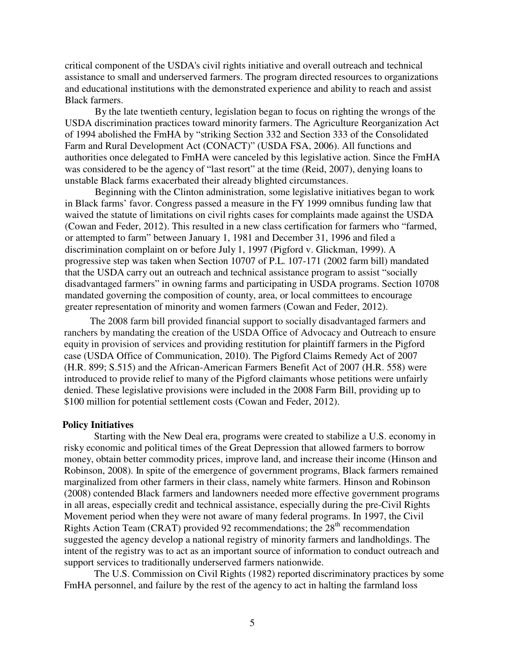critical component of the USDA's civil rights initiative and overall outreach and technical assistance to small and underserved farmers. The program directed resources to organizations and educational institutions with the demonstrated experience and ability to reach and assist Black farmers.

By the late twentieth century, legislation began to focus on righting the wrongs of the USDA discrimination practices toward minority farmers. The Agriculture Reorganization Act of 1994 abolished the FmHA by "striking Section 332 and Section 333 of the Consolidated Farm and Rural Development Act (CONACT)" (USDA FSA, 2006). All functions and authorities once delegated to FmHA were canceled by this legislative action. Since the FmHA was considered to be the agency of "last resort" at the time (Reid, 2007), denying loans to unstable Black farms exacerbated their already blighted circumstances.

Beginning with the Clinton administration, some legislative initiatives began to work in Black farms' favor. Congress passed a measure in the FY 1999 omnibus funding law that waived the statute of limitations on civil rights cases for complaints made against the USDA (Cowan and Feder, 2012). This resulted in a new class certification for farmers who "farmed, or attempted to farm" between January 1, 1981 and December 31, 1996 and filed a discrimination complaint on or before July 1, 1997 (Pigford v. Glickman, 1999). A progressive step was taken when Section 10707 of P.L. 107-171 (2002 farm bill) mandated that the USDA carry out an outreach and technical assistance program to assist "socially disadvantaged farmers" in owning farms and participating in USDA programs. Section 10708 mandated governing the composition of county, area, or local committees to encourage greater representation of minority and women farmers (Cowan and Feder, 2012).

 The 2008 farm bill provided financial support to socially disadvantaged farmers and ranchers by mandating the creation of the USDA Office of Advocacy and Outreach to ensure equity in provision of services and providing restitution for plaintiff farmers in the Pigford case (USDA Office of Communication, 2010). The Pigford Claims Remedy Act of 2007 (H.R. 899; S.515) and the African-American Farmers Benefit Act of 2007 (H.R. 558) were introduced to provide relief to many of the Pigford claimants whose petitions were unfairly denied. These legislative provisions were included in the 2008 Farm Bill, providing up to \$100 million for potential settlement costs (Cowan and Feder, 2012).

#### **Policy Initiatives**

Starting with the New Deal era, programs were created to stabilize a U.S. economy in risky economic and political times of the Great Depression that allowed farmers to borrow money, obtain better commodity prices, improve land, and increase their income (Hinson and Robinson, 2008). In spite of the emergence of government programs, Black farmers remained marginalized from other farmers in their class, namely white farmers. Hinson and Robinson (2008) contended Black farmers and landowners needed more effective government programs in all areas, especially credit and technical assistance, especially during the pre-Civil Rights Movement period when they were not aware of many federal programs. In 1997, the Civil Rights Action Team (CRAT) provided 92 recommendations; the 28th recommendation suggested the agency develop a national registry of minority farmers and landholdings. The intent of the registry was to act as an important source of information to conduct outreach and support services to traditionally underserved farmers nationwide.

The U.S. Commission on Civil Rights (1982) reported discriminatory practices by some FmHA personnel, and failure by the rest of the agency to act in halting the farmland loss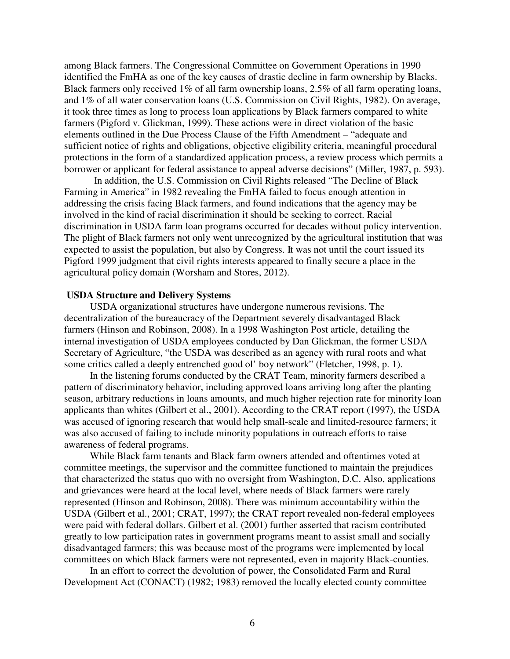among Black farmers. The Congressional Committee on Government Operations in 1990 identified the FmHA as one of the key causes of drastic decline in farm ownership by Blacks. Black farmers only received 1% of all farm ownership loans, 2.5% of all farm operating loans, and 1% of all water conservation loans (U.S. Commission on Civil Rights, 1982). On average, it took three times as long to process loan applications by Black farmers compared to white farmers (Pigford v. Glickman, 1999). These actions were in direct violation of the basic elements outlined in the Due Process Clause of the Fifth Amendment – "adequate and sufficient notice of rights and obligations, objective eligibility criteria, meaningful procedural protections in the form of a standardized application process, a review process which permits a borrower or applicant for federal assistance to appeal adverse decisions" (Miller, 1987, p. 593).

In addition, the U.S. Commission on Civil Rights released "The Decline of Black Farming in America" in 1982 revealing the FmHA failed to focus enough attention in addressing the crisis facing Black farmers, and found indications that the agency may be involved in the kind of racial discrimination it should be seeking to correct. Racial discrimination in USDA farm loan programs occurred for decades without policy intervention. The plight of Black farmers not only went unrecognized by the agricultural institution that was expected to assist the population, but also by Congress. It was not until the court issued its Pigford 1999 judgment that civil rights interests appeared to finally secure a place in the agricultural policy domain (Worsham and Stores, 2012).

#### **USDA Structure and Delivery Systems**

 USDA organizational structures have undergone numerous revisions. The decentralization of the bureaucracy of the Department severely disadvantaged Black farmers (Hinson and Robinson, 2008). In a 1998 Washington Post article, detailing the internal investigation of USDA employees conducted by Dan Glickman, the former USDA Secretary of Agriculture, "the USDA was described as an agency with rural roots and what some critics called a deeply entrenched good ol' boy network" (Fletcher, 1998, p. 1).

 In the listening forums conducted by the CRAT Team, minority farmers described a pattern of discriminatory behavior, including approved loans arriving long after the planting season, arbitrary reductions in loans amounts, and much higher rejection rate for minority loan applicants than whites (Gilbert et al., 2001). According to the CRAT report (1997), the USDA was accused of ignoring research that would help small-scale and limited-resource farmers; it was also accused of failing to include minority populations in outreach efforts to raise awareness of federal programs.

 While Black farm tenants and Black farm owners attended and oftentimes voted at committee meetings, the supervisor and the committee functioned to maintain the prejudices that characterized the status quo with no oversight from Washington, D.C. Also, applications and grievances were heard at the local level, where needs of Black farmers were rarely represented (Hinson and Robinson, 2008). There was minimum accountability within the USDA (Gilbert et al., 2001; CRAT, 1997); the CRAT report revealed non-federal employees were paid with federal dollars. Gilbert et al. (2001) further asserted that racism contributed greatly to low participation rates in government programs meant to assist small and socially disadvantaged farmers; this was because most of the programs were implemented by local committees on which Black farmers were not represented, even in majority Black-counties.

In an effort to correct the devolution of power, the Consolidated Farm and Rural Development Act (CONACT) (1982; 1983) removed the locally elected county committee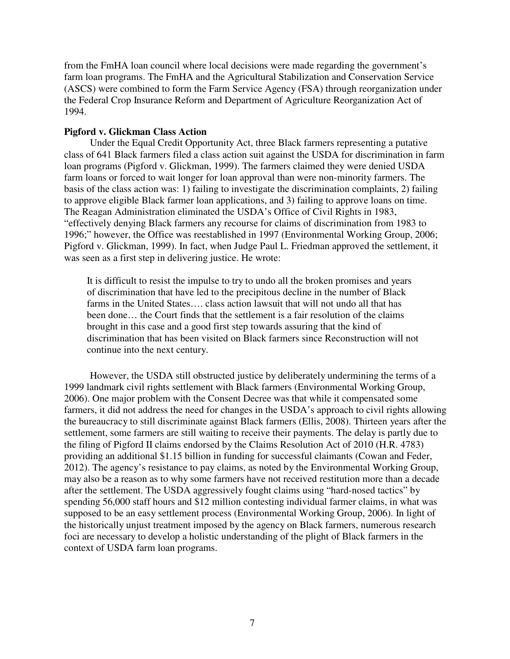from the FmHA loan council where local decisions were made regarding the government's farm loan programs. The FmHA and the Agricultural Stabilization and Conservation Service (ASCS) were combined to form the Farm Service Agency (FSA) through reorganization under the Federal Crop Insurance Reform and Department of Agriculture Reorganization Act of 1994.

# **Pigford v. Glickman Class Action**

Under the Equal Credit Opportunity Act, three Black farmers representing a putative class of 641 Black farmers filed a class action suit against the USDA for discrimination in farm loan programs (Pigford v. Glickman, 1999). The farmers claimed they were denied USDA farm loans or forced to wait longer for loan approval than were non-minority farmers. The basis of the class action was: 1) failing to investigate the discrimination complaints, 2) failing to approve eligible Black farmer loan applications, and 3) failing to approve loans on time. The Reagan Administration eliminated the USDA's Office of Civil Rights in 1983, "effectively denying Black farmers any recourse for claims of discrimination from 1983 to 1996;" however, the Office was reestablished in 1997 (Environmental Working Group, 2006; Pigford v. Glickman, 1999). In fact, when Judge Paul L. Friedman approved the settlement, it was seen as a first step in delivering justice. He wrote:

It is difficult to resist the impulse to try to undo all the broken promises and years of discrimination that have led to the precipitous decline in the number of Black farms in the United States…. class action lawsuit that will not undo all that has been done… the Court finds that the settlement is a fair resolution of the claims brought in this case and a good first step towards assuring that the kind of discrimination that has been visited on Black farmers since Reconstruction will not continue into the next century.

 However, the USDA still obstructed justice by deliberately undermining the terms of a 1999 landmark civil rights settlement with Black farmers (Environmental Working Group, 2006). One major problem with the Consent Decree was that while it compensated some farmers, it did not address the need for changes in the USDA's approach to civil rights allowing the bureaucracy to still discriminate against Black farmers (Ellis, 2008). Thirteen years after the settlement, some farmers are still waiting to receive their payments. The delay is partly due to the filing of Pigford II claims endorsed by the Claims Resolution Act of 2010 (H.R. 4783) providing an additional \$1.15 billion in funding for successful claimants (Cowan and Feder, 2012). The agency's resistance to pay claims, as noted by the Environmental Working Group, may also be a reason as to why some farmers have not received restitution more than a decade after the settlement. The USDA aggressively fought claims using "hard-nosed tactics" by spending 56,000 staff hours and \$12 million contesting individual farmer claims, in what was supposed to be an easy settlement process (Environmental Working Group, 2006). In light of the historically unjust treatment imposed by the agency on Black farmers, numerous research foci are necessary to develop a holistic understanding of the plight of Black farmers in the context of USDA farm loan programs.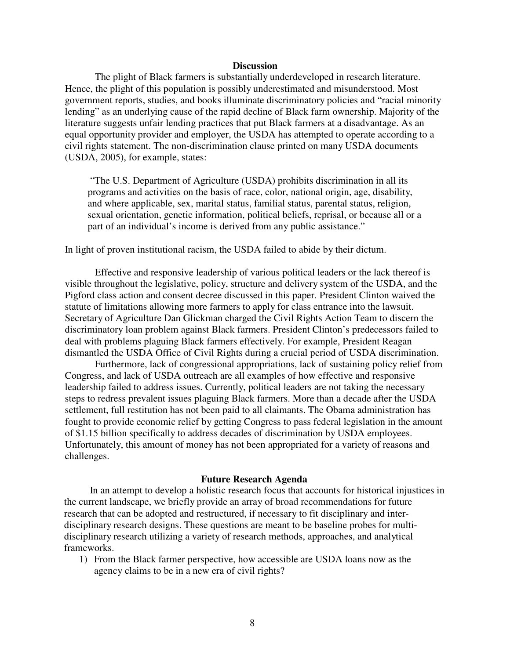# **Discussion**

The plight of Black farmers is substantially underdeveloped in research literature. Hence, the plight of this population is possibly underestimated and misunderstood. Most government reports, studies, and books illuminate discriminatory policies and "racial minority lending" as an underlying cause of the rapid decline of Black farm ownership. Majority of the literature suggests unfair lending practices that put Black farmers at a disadvantage. As an equal opportunity provider and employer, the USDA has attempted to operate according to a civil rights statement. The non-discrimination clause printed on many USDA documents (USDA, 2005), for example, states:

"The U.S. Department of Agriculture (USDA) prohibits discrimination in all its programs and activities on the basis of race, color, national origin, age, disability, and where applicable, sex, marital status, familial status, parental status, religion, sexual orientation, genetic information, political beliefs, reprisal, or because all or a part of an individual's income is derived from any public assistance."

In light of proven institutional racism, the USDA failed to abide by their dictum.

Effective and responsive leadership of various political leaders or the lack thereof is visible throughout the legislative, policy, structure and delivery system of the USDA, and the Pigford class action and consent decree discussed in this paper. President Clinton waived the statute of limitations allowing more farmers to apply for class entrance into the lawsuit. Secretary of Agriculture Dan Glickman charged the Civil Rights Action Team to discern the discriminatory loan problem against Black farmers. President Clinton's predecessors failed to deal with problems plaguing Black farmers effectively. For example, President Reagan dismantled the USDA Office of Civil Rights during a crucial period of USDA discrimination.

Furthermore, lack of congressional appropriations, lack of sustaining policy relief from Congress, and lack of USDA outreach are all examples of how effective and responsive leadership failed to address issues. Currently, political leaders are not taking the necessary steps to redress prevalent issues plaguing Black farmers. More than a decade after the USDA settlement, full restitution has not been paid to all claimants. The Obama administration has fought to provide economic relief by getting Congress to pass federal legislation in the amount of \$1.15 billion specifically to address decades of discrimination by USDA employees. Unfortunately, this amount of money has not been appropriated for a variety of reasons and challenges.

#### **Future Research Agenda**

 In an attempt to develop a holistic research focus that accounts for historical injustices in the current landscape, we briefly provide an array of broad recommendations for future research that can be adopted and restructured, if necessary to fit disciplinary and interdisciplinary research designs. These questions are meant to be baseline probes for multidisciplinary research utilizing a variety of research methods, approaches, and analytical frameworks.

1) From the Black farmer perspective, how accessible are USDA loans now as the agency claims to be in a new era of civil rights?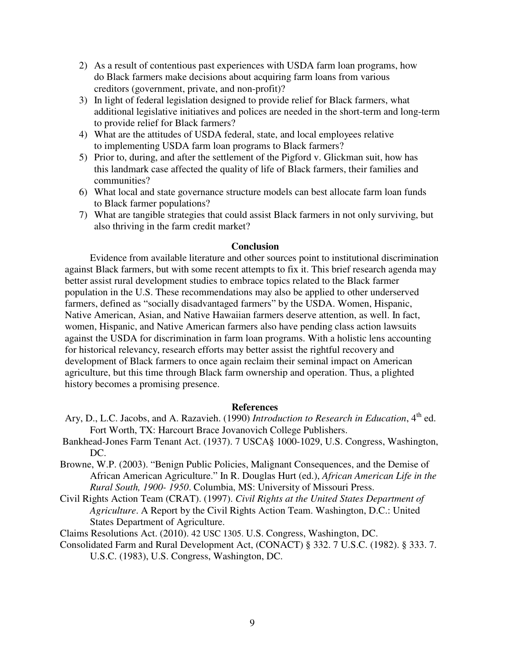- 2) As a result of contentious past experiences with USDA farm loan programs, how do Black farmers make decisions about acquiring farm loans from various creditors (government, private, and non-profit)?
- 3) In light of federal legislation designed to provide relief for Black farmers, what additional legislative initiatives and polices are needed in the short-term and long-term to provide relief for Black farmers?
- 4) What are the attitudes of USDA federal, state, and local employees relative to implementing USDA farm loan programs to Black farmers?
- 5) Prior to, during, and after the settlement of the Pigford v. Glickman suit, how has this landmark case affected the quality of life of Black farmers, their families and communities?
- 6) What local and state governance structure models can best allocate farm loan funds to Black farmer populations?
- 7) What are tangible strategies that could assist Black farmers in not only surviving, but also thriving in the farm credit market?

# **Conclusion**

 Evidence from available literature and other sources point to institutional discrimination against Black farmers, but with some recent attempts to fix it. This brief research agenda may better assist rural development studies to embrace topics related to the Black farmer population in the U.S. These recommendations may also be applied to other underserved farmers, defined as "socially disadvantaged farmers" by the USDA. Women, Hispanic, Native American, Asian, and Native Hawaiian farmers deserve attention, as well. In fact, women, Hispanic, and Native American farmers also have pending class action lawsuits against the USDA for discrimination in farm loan programs. With a holistic lens accounting for historical relevancy, research efforts may better assist the rightful recovery and development of Black farmers to once again reclaim their seminal impact on American agriculture, but this time through Black farm ownership and operation. Thus, a plighted history becomes a promising presence.

# **References**

- Ary, D., L.C. Jacobs, and A. Razavieh. (1990) *Introduction to Research in Education*, 4<sup>th</sup> ed. Fort Worth, TX: Harcourt Brace Jovanovich College Publishers.
- Bankhead-Jones Farm Tenant Act. (1937). 7 USCA§ 1000-1029, U.S. Congress, Washington, DC.
- Browne, W.P. (2003). "Benign Public Policies, Malignant Consequences, and the Demise of African American Agriculture." In R. Douglas Hurt (ed.), *African American Life in the Rural South, 1900- 1950*. Columbia, MS: University of Missouri Press.
- Civil Rights Action Team (CRAT). (1997). *Civil Rights at the United States Department of Agriculture*. A Report by the Civil Rights Action Team. Washington, D.C.: United States Department of Agriculture.

Claims Resolutions Act. (2010). 42 USC 1305. U.S. Congress, Washington, DC.

Consolidated Farm and Rural Development Act, (CONACT) § 332. 7 U.S.C. (1982). § 333. 7.

U.S.C. (1983), U.S. Congress, Washington, DC.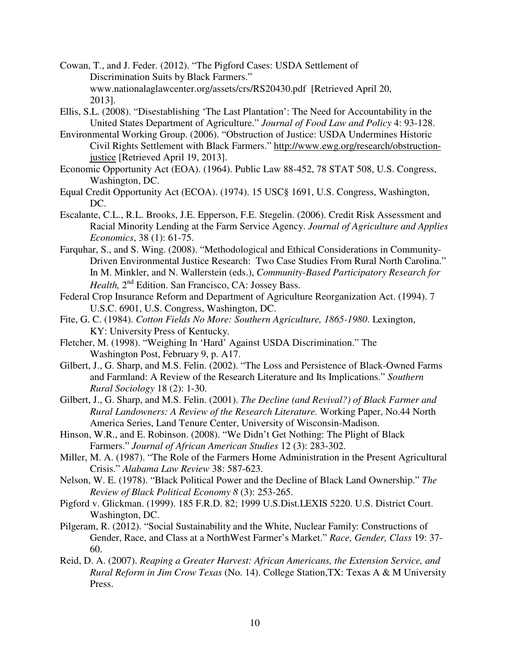Cowan, T., and J. Feder. (2012). "The Pigford Cases: USDA Settlement of Discrimination Suits by Black Farmers." www.nationalaglawcenter.org/assets/crs/RS20430.pdf [Retrieved April 20, 2013].

- Ellis, S.L. (2008). "Disestablishing 'The Last Plantation': The Need for Accountability in the United States Department of Agriculture." *Journal of Food Law and Policy* 4: 93-128.
- Environmental Working Group. (2006). "Obstruction of Justice: USDA Undermines Historic Civil Rights Settlement with Black Farmers." http://www.ewg.org/research/obstructionjustice [Retrieved April 19, 2013].
- Economic Opportunity Act (EOA). (1964). Public Law 88-452, 78 STAT 508, U.S. Congress, Washington, DC.
- Equal Credit Opportunity Act (ECOA). (1974). 15 USC§ 1691, U.S. Congress, Washington, DC.
- Escalante, C.L., R.L. Brooks, J.E. Epperson, F.E. Stegelin. (2006). Credit Risk Assessment and Racial Minority Lending at the Farm Service Agency. *Journal of Agriculture and Applies Economics*, 38 (1): 61-75.
- Farquhar, S., and S. Wing. (2008). "Methodological and Ethical Considerations in Community-Driven Environmental Justice Research: Two Case Studies From Rural North Carolina." In M. Minkler, and N. Wallerstein (eds.), *Community-Based Participatory Research for*  Health, 2<sup>nd</sup> Edition. San Francisco, CA: Jossey Bass.
- Federal Crop Insurance Reform and Department of Agriculture Reorganization Act. (1994). 7 U.S.C. 6901, U.S. Congress, Washington, DC.
- Fite, G. C. (1984). *Cotton Fields No More: Southern Agriculture, 1865-1980*. Lexington, KY: University Press of Kentucky.
- Fletcher, M. (1998). "Weighing In 'Hard' Against USDA Discrimination." The Washington Post, February 9, p. A17.
- Gilbert, J., G. Sharp, and M.S. Felin. (2002). "The Loss and Persistence of Black-Owned Farms and Farmland: A Review of the Research Literature and Its Implications." *Southern Rural Sociology* 18 (2): 1-30.
- Gilbert, J., G. Sharp, and M.S. Felin. (2001). *The Decline (and Revival?) of Black Farmer and Rural Landowners: A Review of the Research Literature.* Working Paper, No.44 North America Series, Land Tenure Center, University of Wisconsin-Madison.
- Hinson, W.R., and E. Robinson. (2008). "We Didn't Get Nothing: The Plight of Black Farmers." *Journal of African American Studies* 12 (3): 283-302.
- Miller, M. A. (1987). "The Role of the Farmers Home Administration in the Present Agricultural Crisis." *Alabama Law Review* 38: 587-623.
- Nelson, W. E. (1978). "Black Political Power and the Decline of Black Land Ownership." *The Review of Black Political Economy 8* (3): 253-265.
- Pigford v. Glickman. (1999). 185 F.R.D. 82; 1999 U.S.Dist.LEXIS 5220. U.S. District Court. Washington, DC.
- Pilgeram, R. (2012). "Social Sustainability and the White, Nuclear Family: Constructions of Gender, Race, and Class at a NorthWest Farmer's Market." *Race, Gender, Class* 19: 37- 60.
- Reid, D. A. (2007). *Reaping a Greater Harvest: African Americans, the Extension Service, and Rural Reform in Jim Crow Texas* (No. 14). College Station,TX: Texas A & M University Press.